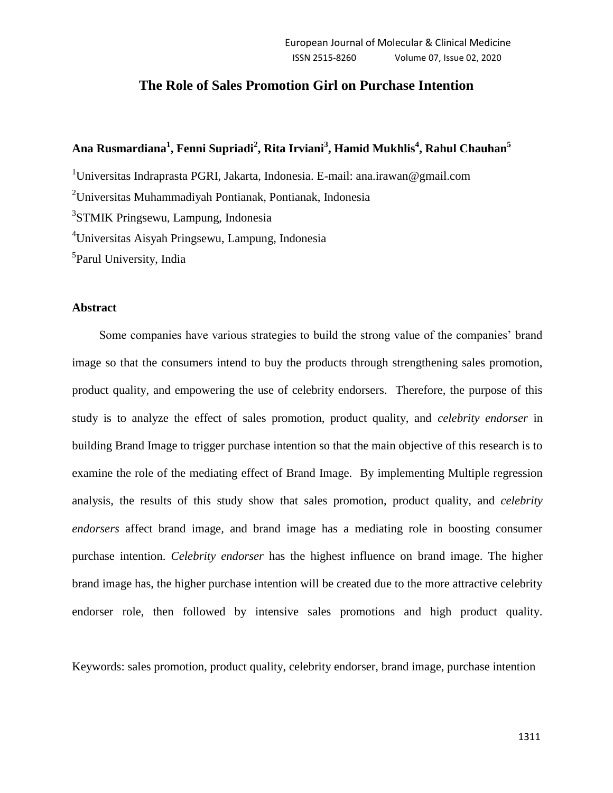# **The Role of Sales Promotion Girl on Purchase Intention**

# **Ana Rusmardiana<sup>1</sup> , Fenni Supriadi<sup>2</sup> , Rita Irviani<sup>3</sup> , Hamid Mukhlis<sup>4</sup> , Rahul Chauhan<sup>5</sup>**

<sup>1</sup>Universitas Indraprasta PGRI, Jakarta, Indonesia. E-mail: ana.irawan@gmail.com

<sup>2</sup>Universitas Muhammadiyah Pontianak, Pontianak, Indonesia

3 STMIK Pringsewu, Lampung, Indonesia

<sup>4</sup>Universitas Aisyah Pringsewu, Lampung, Indonesia

<sup>5</sup>Parul University, India

# **Abstract**

Some companies have various strategies to build the strong value of the companies' brand image so that the consumers intend to buy the products through strengthening sales promotion, product quality, and empowering the use of celebrity endorsers. Therefore, the purpose of this study is to analyze the effect of sales promotion, product quality, and *celebrity endorser* in building Brand Image to trigger purchase intention so that the main objective of this research is to examine the role of the mediating effect of Brand Image. By implementing Multiple regression analysis, the results of this study show that sales promotion, product quality, and *celebrity endorsers* affect brand image*,* and brand image has a mediating role in boosting consumer purchase intention. *Celebrity endorser* has the highest influence on brand image. The higher brand image has, the higher purchase intention will be created due to the more attractive celebrity endorser role, then followed by intensive sales promotions and high product quality.

Keywords: sales promotion, product quality, celebrity endorser, brand image, purchase intention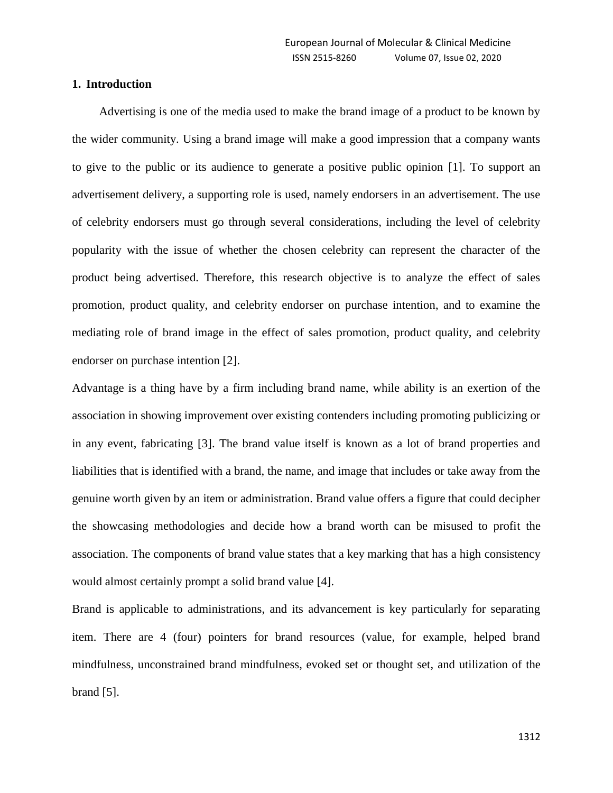# **1. Introduction**

Advertising is one of the media used to make the brand image of a product to be known by the wider community. Using a brand image will make a good impression that a company wants to give to the public or its audience to generate a positive public opinion [1]. To support an advertisement delivery, a supporting role is used, namely endorsers in an advertisement. The use of celebrity endorsers must go through several considerations, including the level of celebrity popularity with the issue of whether the chosen celebrity can represent the character of the product being advertised. Therefore, this research objective is to analyze the effect of sales promotion, product quality, and celebrity endorser on purchase intention, and to examine the mediating role of brand image in the effect of sales promotion, product quality, and celebrity endorser on purchase intention [2].

Advantage is a thing have by a firm including brand name, while ability is an exertion of the association in showing improvement over existing contenders including promoting publicizing or in any event, fabricating [3]. The brand value itself is known as a lot of brand properties and liabilities that is identified with a brand, the name, and image that includes or take away from the genuine worth given by an item or administration. Brand value offers a figure that could decipher the showcasing methodologies and decide how a brand worth can be misused to profit the association. The components of brand value states that a key marking that has a high consistency would almost certainly prompt a solid brand value [4].

Brand is applicable to administrations, and its advancement is key particularly for separating item. There are 4 (four) pointers for brand resources (value, for example, helped brand mindfulness, unconstrained brand mindfulness, evoked set or thought set, and utilization of the brand [5].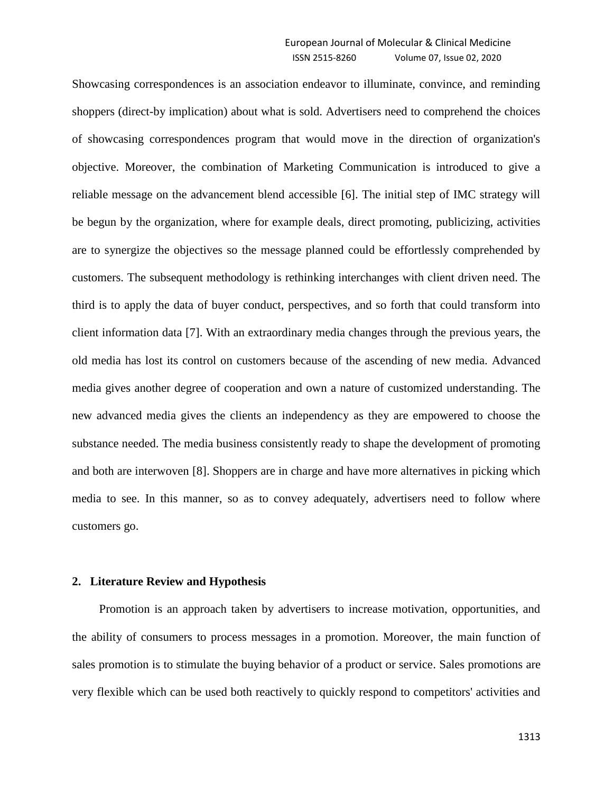Showcasing correspondences is an association endeavor to illuminate, convince, and reminding shoppers (direct-by implication) about what is sold. Advertisers need to comprehend the choices of showcasing correspondences program that would move in the direction of organization's objective. Moreover, the combination of Marketing Communication is introduced to give a reliable message on the advancement blend accessible [6]. The initial step of IMC strategy will be begun by the organization, where for example deals, direct promoting, publicizing, activities are to synergize the objectives so the message planned could be effortlessly comprehended by customers. The subsequent methodology is rethinking interchanges with client driven need. The third is to apply the data of buyer conduct, perspectives, and so forth that could transform into client information data [7]. With an extraordinary media changes through the previous years, the old media has lost its control on customers because of the ascending of new media. Advanced media gives another degree of cooperation and own a nature of customized understanding. The new advanced media gives the clients an independency as they are empowered to choose the substance needed. The media business consistently ready to shape the development of promoting and both are interwoven [8]. Shoppers are in charge and have more alternatives in picking which media to see. In this manner, so as to convey adequately, advertisers need to follow where customers go.

# **2. Literature Review and Hypothesis**

Promotion is an approach taken by advertisers to increase motivation, opportunities, and the ability of consumers to process messages in a promotion. Moreover, the main function of sales promotion is to stimulate the buying behavior of a product or service. Sales promotions are very flexible which can be used both reactively to quickly respond to competitors' activities and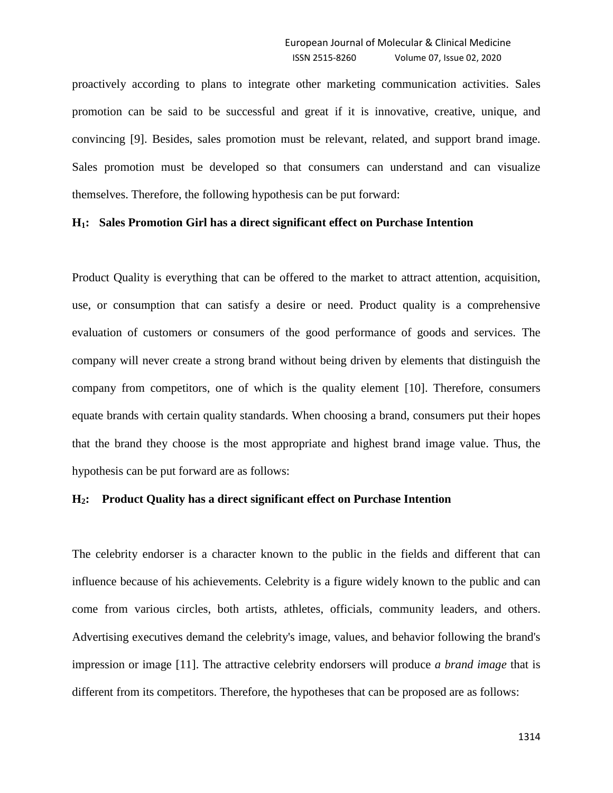proactively according to plans to integrate other marketing communication activities. Sales promotion can be said to be successful and great if it is innovative, creative, unique, and convincing [9]. Besides, sales promotion must be relevant, related, and support brand image. Sales promotion must be developed so that consumers can understand and can visualize themselves. Therefore, the following hypothesis can be put forward:

# **H1: Sales Promotion Girl has a direct significant effect on Purchase Intention**

Product Quality is everything that can be offered to the market to attract attention, acquisition, use, or consumption that can satisfy a desire or need. Product quality is a comprehensive evaluation of customers or consumers of the good performance of goods and services. The company will never create a strong brand without being driven by elements that distinguish the company from competitors, one of which is the quality element [10]. Therefore, consumers equate brands with certain quality standards. When choosing a brand, consumers put their hopes that the brand they choose is the most appropriate and highest brand image value. Thus, the hypothesis can be put forward are as follows:

# **H2: Product Quality has a direct significant effect on Purchase Intention**

The celebrity endorser is a character known to the public in the fields and different that can influence because of his achievements. Celebrity is a figure widely known to the public and can come from various circles, both artists, athletes, officials, community leaders, and others. Advertising executives demand the celebrity's image, values, and behavior following the brand's impression or image [11]. The attractive celebrity endorsers will produce *a brand image* that is different from its competitors. Therefore, the hypotheses that can be proposed are as follows: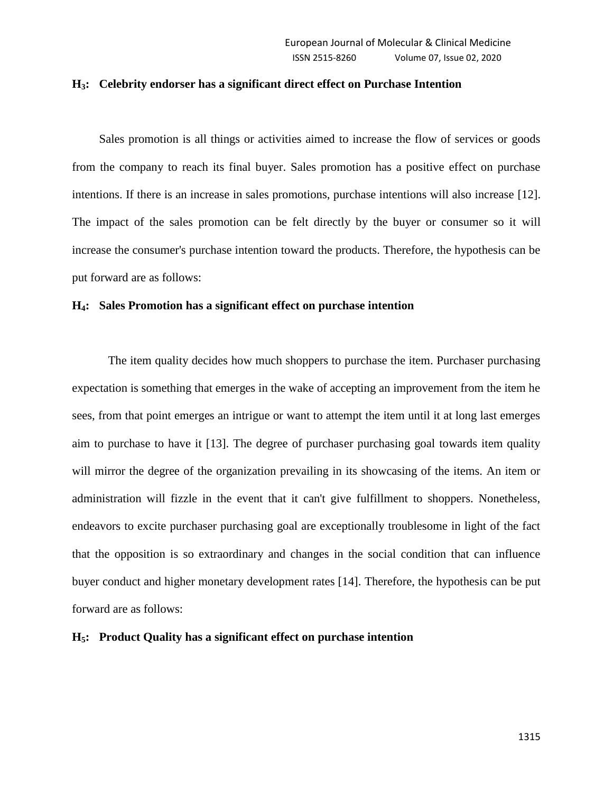# **H3: Celebrity endorser has a significant direct effect on Purchase Intention**

Sales promotion is all things or activities aimed to increase the flow of services or goods from the company to reach its final buyer. Sales promotion has a positive effect on purchase intentions. If there is an increase in sales promotions, purchase intentions will also increase [12]. The impact of the sales promotion can be felt directly by the buyer or consumer so it will increase the consumer's purchase intention toward the products. Therefore, the hypothesis can be put forward are as follows:

# **H4: Sales Promotion has a significant effect on purchase intention**

The item quality decides how much shoppers to purchase the item. Purchaser purchasing expectation is something that emerges in the wake of accepting an improvement from the item he sees, from that point emerges an intrigue or want to attempt the item until it at long last emerges aim to purchase to have it [13]. The degree of purchaser purchasing goal towards item quality will mirror the degree of the organization prevailing in its showcasing of the items. An item or administration will fizzle in the event that it can't give fulfillment to shoppers. Nonetheless, endeavors to excite purchaser purchasing goal are exceptionally troublesome in light of the fact that the opposition is so extraordinary and changes in the social condition that can influence buyer conduct and higher monetary development rates [14]. Therefore, the hypothesis can be put forward are as follows:

#### **H5: Product Quality has a significant effect on purchase intention**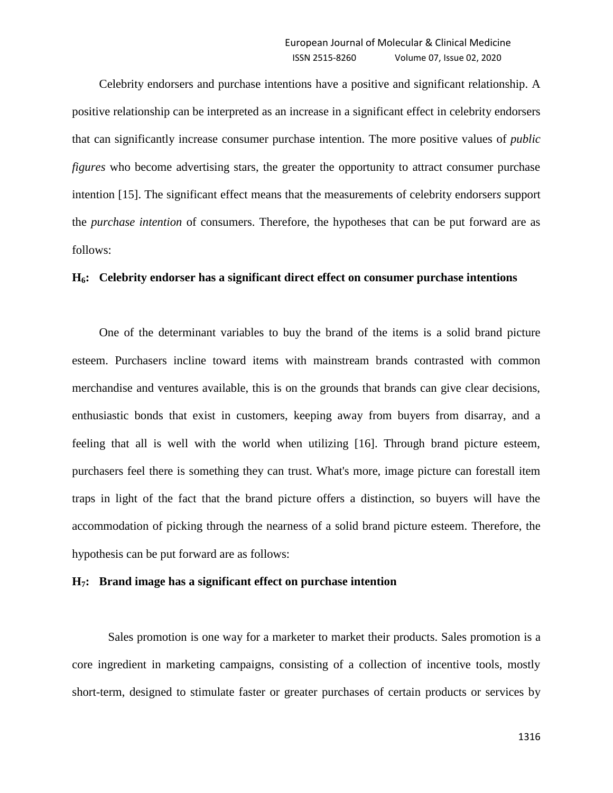Celebrity endorsers and purchase intentions have a positive and significant relationship. A positive relationship can be interpreted as an increase in a significant effect in celebrity endorsers that can significantly increase consumer purchase intention. The more positive values of *public figures* who become advertising stars, the greater the opportunity to attract consumer purchase intention [15]. The significant effect means that the measurements of celebrity endorser*s* support the *purchase intention* of consumers. Therefore, the hypotheses that can be put forward are as follows:

# **H6: Celebrity endorser has a significant direct effect on consumer purchase intentions**

One of the determinant variables to buy the brand of the items is a solid brand picture esteem. Purchasers incline toward items with mainstream brands contrasted with common merchandise and ventures available, this is on the grounds that brands can give clear decisions, enthusiastic bonds that exist in customers, keeping away from buyers from disarray, and a feeling that all is well with the world when utilizing [16]. Through brand picture esteem, purchasers feel there is something they can trust. What's more, image picture can forestall item traps in light of the fact that the brand picture offers a distinction, so buyers will have the accommodation of picking through the nearness of a solid brand picture esteem. Therefore, the hypothesis can be put forward are as follows:

## **H7: Brand image has a significant effect on purchase intention**

Sales promotion is one way for a marketer to market their products. Sales promotion is a core ingredient in marketing campaigns, consisting of a collection of incentive tools, mostly short-term, designed to stimulate faster or greater purchases of certain products or services by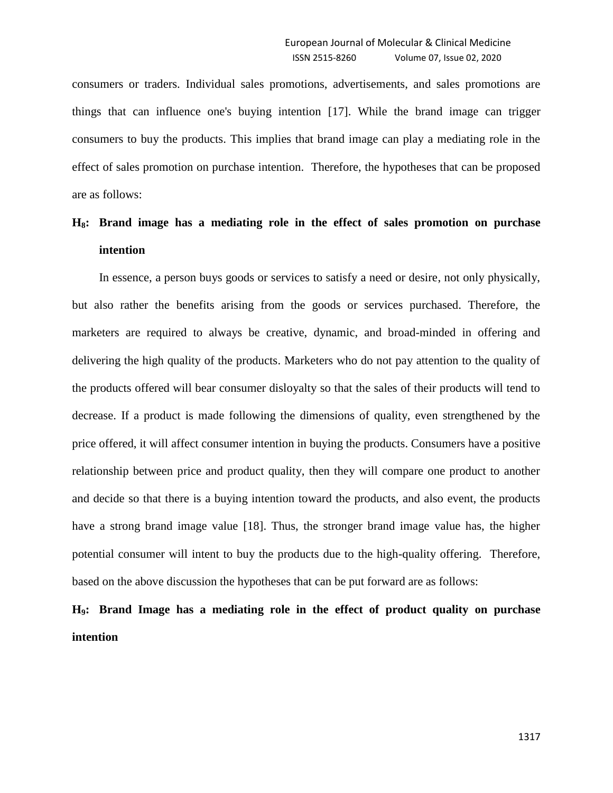consumers or traders. Individual sales promotions, advertisements, and sales promotions are things that can influence one's buying intention [17]. While the brand image can trigger consumers to buy the products. This implies that brand image can play a mediating role in the effect of sales promotion on purchase intention. Therefore, the hypotheses that can be proposed are as follows:

# **H8: Brand image has a mediating role in the effect of sales promotion on purchase intention**

In essence, a person buys goods or services to satisfy a need or desire, not only physically, but also rather the benefits arising from the goods or services purchased. Therefore, the marketers are required to always be creative, dynamic, and broad-minded in offering and delivering the high quality of the products. Marketers who do not pay attention to the quality of the products offered will bear consumer disloyalty so that the sales of their products will tend to decrease. If a product is made following the dimensions of quality, even strengthened by the price offered, it will affect consumer intention in buying the products. Consumers have a positive relationship between price and product quality, then they will compare one product to another and decide so that there is a buying intention toward the products, and also event, the products have a strong brand image value [18]. Thus, the stronger brand image value has, the higher potential consumer will intent to buy the products due to the high-quality offering. Therefore, based on the above discussion the hypotheses that can be put forward are as follows:

**H9: Brand Image has a mediating role in the effect of product quality on purchase intention**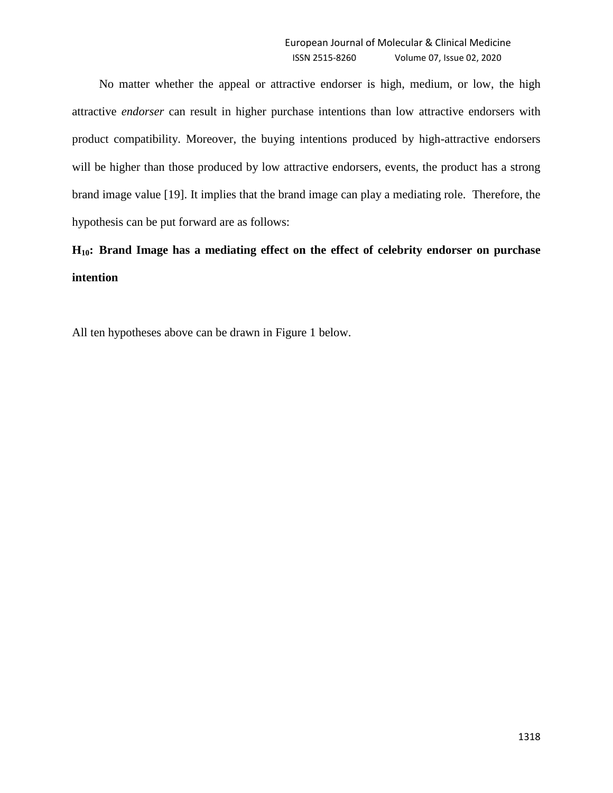No matter whether the appeal or attractive endorser is high, medium, or low, the high attractive *endorser* can result in higher purchase intentions than low attractive endorsers with product compatibility. Moreover, the buying intentions produced by high-attractive endorsers will be higher than those produced by low attractive endorsers, events, the product has a strong brand image value [19]. It implies that the brand image can play a mediating role. Therefore, the hypothesis can be put forward are as follows:

**H10: Brand Image has a mediating effect on the effect of celebrity endorser on purchase intention**

All ten hypotheses above can be drawn in Figure 1 below.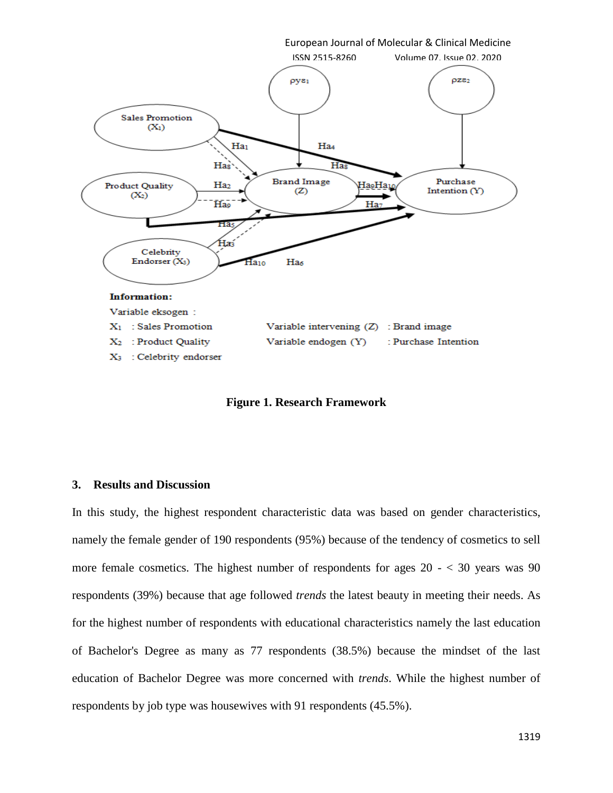

**Figure 1. Research Framework**

# **3. Results and Discussion**

In this study, the highest respondent characteristic data was based on gender characteristics, namely the female gender of 190 respondents (95%) because of the tendency of cosmetics to sell more female cosmetics. The highest number of respondents for ages  $20 -  $30$  years was 90$ respondents (39%) because that age followed *trends* the latest beauty in meeting their needs. As for the highest number of respondents with educational characteristics namely the last education of Bachelor's Degree as many as 77 respondents (38.5%) because the mindset of the last education of Bachelor Degree was more concerned with *trends*. While the highest number of respondents by job type was housewives with 91 respondents (45.5%).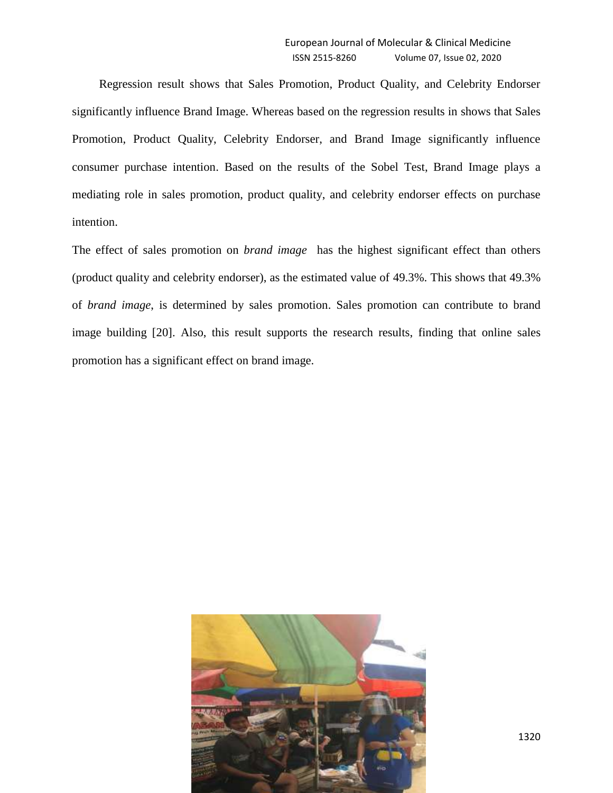Regression result shows that Sales Promotion, Product Quality, and Celebrity Endorser significantly influence Brand Image. Whereas based on the regression results in shows that Sales Promotion, Product Quality, Celebrity Endorser, and Brand Image significantly influence consumer purchase intention. Based on the results of the Sobel Test, Brand Image plays a mediating role in sales promotion, product quality, and celebrity endorser effects on purchase intention.

The effect of sales promotion on *brand image* has the highest significant effect than others (product quality and celebrity endorser), as the estimated value of 49.3%. This shows that 49.3% of *brand image*, is determined by sales promotion. Sales promotion can contribute to brand image building [20]. Also, this result supports the research results, finding that online sales promotion has a significant effect on brand image.

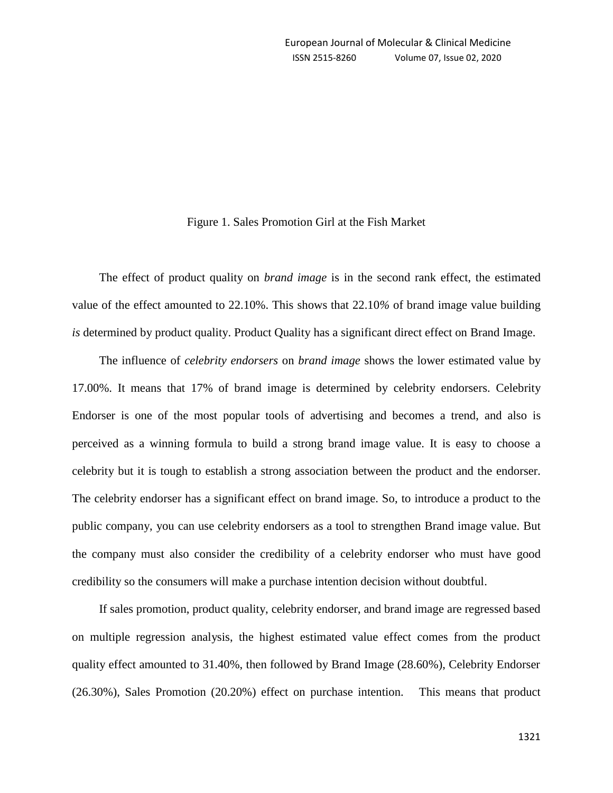# Figure 1. Sales Promotion Girl at the Fish Market

The effect of product quality on *brand image* is in the second rank effect, the estimated value of the effect amounted to 22.10%. This shows that 22.10*%* of brand image value building *is* determined by product quality. Product Quality has a significant direct effect on Brand Image.

The influence of *celebrity endorsers* on *brand image* shows the lower estimated value by 17.00%. It means that 17% of brand image is determined by celebrity endorsers. Celebrity Endorser is one of the most popular tools of advertising and becomes a trend, and also is perceived as a winning formula to build a strong brand image value. It is easy to choose a celebrity but it is tough to establish a strong association between the product and the endorser. The celebrity endorser has a significant effect on brand image. So, to introduce a product to the public company, you can use celebrity endorsers as a tool to strengthen Brand image value. But the company must also consider the credibility of a celebrity endorser who must have good credibility so the consumers will make a purchase intention decision without doubtful.

If sales promotion, product quality, celebrity endorser, and brand image are regressed based on multiple regression analysis, the highest estimated value effect comes from the product quality effect amounted to 31.40%, then followed by Brand Image (28.60%), Celebrity Endorser (26.30%), Sales Promotion (20.20%) effect on purchase intention. This means that product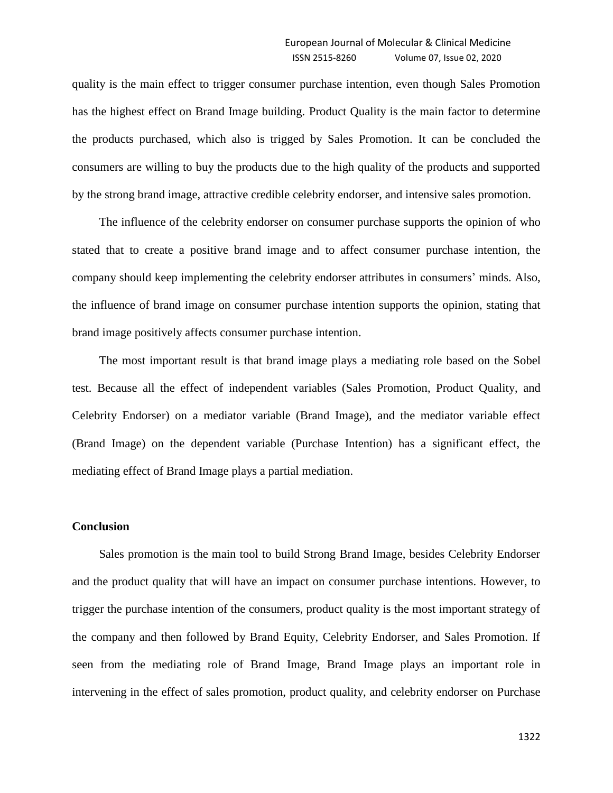quality is the main effect to trigger consumer purchase intention, even though Sales Promotion has the highest effect on Brand Image building. Product Quality is the main factor to determine the products purchased, which also is trigged by Sales Promotion. It can be concluded the consumers are willing to buy the products due to the high quality of the products and supported by the strong brand image, attractive credible celebrity endorser, and intensive sales promotion.

The influence of the celebrity endorser on consumer purchase supports the opinion of who stated that to create a positive brand image and to affect consumer purchase intention, the company should keep implementing the celebrity endorser attributes in consumers' minds. Also, the influence of brand image on consumer purchase intention supports the opinion, stating that brand image positively affects consumer purchase intention.

The most important result is that brand image plays a mediating role based on the Sobel test. Because all the effect of independent variables (Sales Promotion, Product Quality, and Celebrity Endorser) on a mediator variable (Brand Image), and the mediator variable effect (Brand Image) on the dependent variable (Purchase Intention) has a significant effect, the mediating effect of Brand Image plays a partial mediation.

# **Conclusion**

Sales promotion is the main tool to build Strong Brand Image, besides Celebrity Endorser and the product quality that will have an impact on consumer purchase intentions. However, to trigger the purchase intention of the consumers, product quality is the most important strategy of the company and then followed by Brand Equity, Celebrity Endorser, and Sales Promotion. If seen from the mediating role of Brand Image, Brand Image plays an important role in intervening in the effect of sales promotion, product quality, and celebrity endorser on Purchase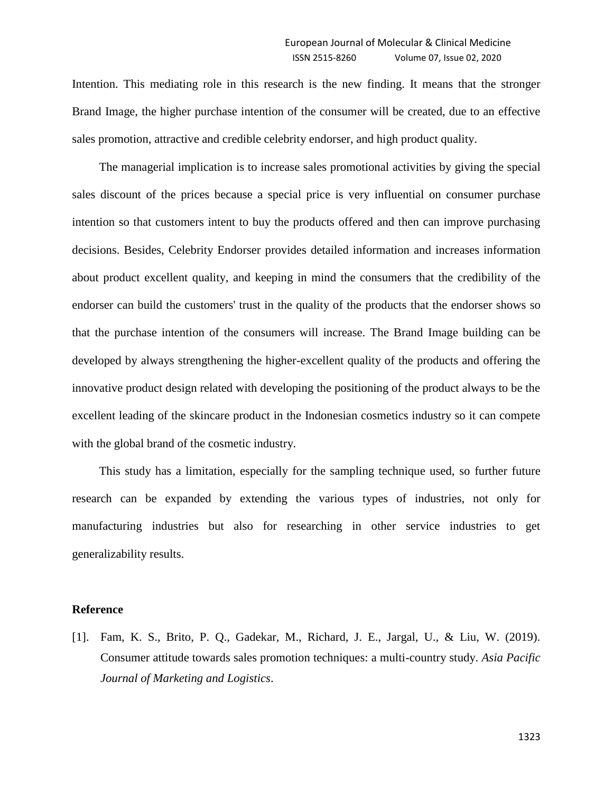Intention. This mediating role in this research is the new finding. It means that the stronger Brand Image, the higher purchase intention of the consumer will be created, due to an effective sales promotion, attractive and credible celebrity endorser, and high product quality.

The managerial implication is to increase sales promotional activities by giving the special sales discount of the prices because a special price is very influential on consumer purchase intention so that customers intent to buy the products offered and then can improve purchasing decisions. Besides, Celebrity Endorser provides detailed information and increases information about product excellent quality, and keeping in mind the consumers that the credibility of the endorser can build the customers' trust in the quality of the products that the endorser shows so that the purchase intention of the consumers will increase. The Brand Image building can be developed by always strengthening the higher-excellent quality of the products and offering the innovative product design related with developing the positioning of the product always to be the excellent leading of the skincare product in the Indonesian cosmetics industry so it can compete with the global brand of the cosmetic industry.

This study has a limitation, especially for the sampling technique used, so further future research can be expanded by extending the various types of industries, not only for manufacturing industries but also for researching in other service industries to get generalizability results.

# **Reference**

[1]. Fam, K. S., Brito, P. Q., Gadekar, M., Richard, J. E., Jargal, U., & Liu, W. (2019). Consumer attitude towards sales promotion techniques: a multi-country study. *Asia Pacific Journal of Marketing and Logistics*.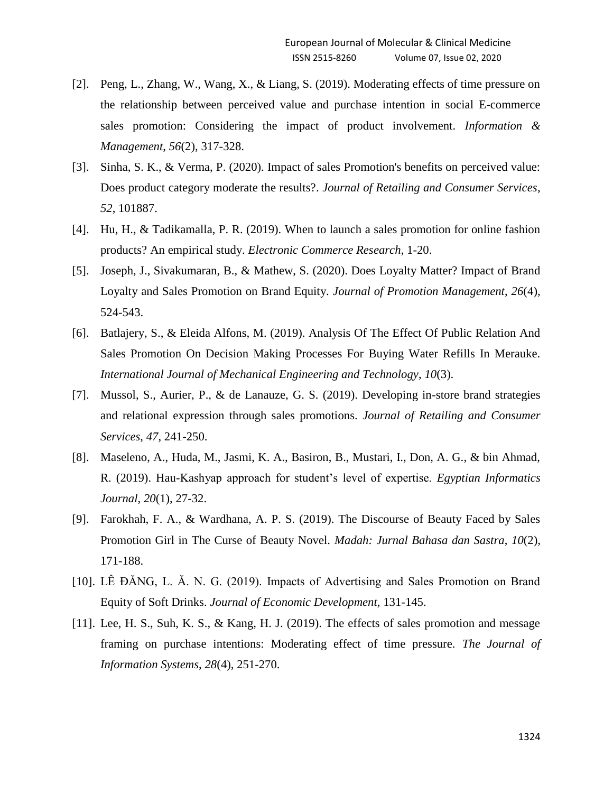- [2]. Peng, L., Zhang, W., Wang, X., & Liang, S. (2019). Moderating effects of time pressure on the relationship between perceived value and purchase intention in social E-commerce sales promotion: Considering the impact of product involvement. *Information & Management*, *56*(2), 317-328.
- [3]. Sinha, S. K., & Verma, P. (2020). Impact of sales Promotion's benefits on perceived value: Does product category moderate the results?. *Journal of Retailing and Consumer Services*, *52*, 101887.
- [4]. Hu, H., & Tadikamalla, P. R. (2019). When to launch a sales promotion for online fashion products? An empirical study. *Electronic Commerce Research*, 1-20.
- [5]. Joseph, J., Sivakumaran, B., & Mathew, S. (2020). Does Loyalty Matter? Impact of Brand Loyalty and Sales Promotion on Brand Equity. *Journal of Promotion Management*, *26*(4), 524-543.
- [6]. Batlajery, S., & Eleida Alfons, M. (2019). Analysis Of The Effect Of Public Relation And Sales Promotion On Decision Making Processes For Buying Water Refills In Merauke. *International Journal of Mechanical Engineering and Technology*, *10*(3).
- [7]. Mussol, S., Aurier, P., & de Lanauze, G. S. (2019). Developing in-store brand strategies and relational expression through sales promotions. *Journal of Retailing and Consumer Services*, *47*, 241-250.
- [8]. Maseleno, A., Huda, M., Jasmi, K. A., Basiron, B., Mustari, I., Don, A. G., & bin Ahmad, R. (2019). Hau-Kashyap approach for student's level of expertise. *Egyptian Informatics Journal*, *20*(1), 27-32.
- [9]. Farokhah, F. A., & Wardhana, A. P. S. (2019). The Discourse of Beauty Faced by Sales Promotion Girl in The Curse of Beauty Novel. *Madah: Jurnal Bahasa dan Sastra*, *10*(2), 171-188.
- [10]. LÊ ĐĂNG, L. Ă. N. G. (2019). Impacts of Advertising and Sales Promotion on Brand Equity of Soft Drinks. *Journal of Economic Development*, 131-145.
- [11]. Lee, H. S., Suh, K. S., & Kang, H. J. (2019). The effects of sales promotion and message framing on purchase intentions: Moderating effect of time pressure. *The Journal of Information Systems*, *28*(4), 251-270.